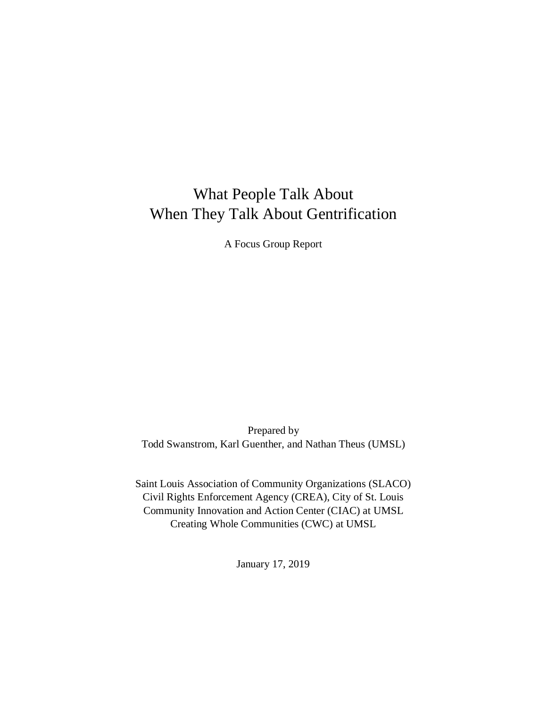# What People Talk About When They Talk About Gentrification

A Focus Group Report

Prepared by Todd Swanstrom, Karl Guenther, and Nathan Theus (UMSL)

Saint Louis Association of Community Organizations (SLACO) Civil Rights Enforcement Agency (CREA), City of St. Louis Community Innovation and Action Center (CIAC) at UMSL Creating Whole Communities (CWC) at UMSL

January 17, 2019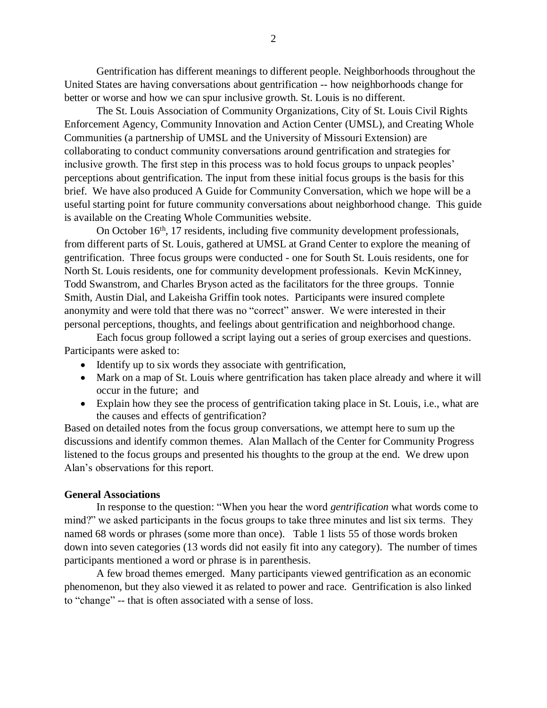Gentrification has different meanings to different people. Neighborhoods throughout the United States are having conversations about gentrification -- how neighborhoods change for better or worse and how we can spur inclusive growth. St. Louis is no different.

The St. Louis Association of Community Organizations, City of St. Louis Civil Rights Enforcement Agency, Community Innovation and Action Center (UMSL), and Creating Whole Communities (a partnership of UMSL and the University of Missouri Extension) are collaborating to conduct community conversations around gentrification and strategies for inclusive growth. The first step in this process was to hold focus groups to unpack peoples' perceptions about gentrification. The input from these initial focus groups is the basis for this brief. We have also produced A Guide for Community Conversation, which we hope will be a useful starting point for future community conversations about neighborhood change. This guide is available on the Creating Whole Communities website.

On October 16<sup>th</sup>, 17 residents, including five community development professionals, from different parts of St. Louis, gathered at UMSL at Grand Center to explore the meaning of gentrification. Three focus groups were conducted - one for South St. Louis residents, one for North St. Louis residents, one for community development professionals. Kevin McKinney, Todd Swanstrom, and Charles Bryson acted as the facilitators for the three groups. Tonnie Smith, Austin Dial, and Lakeisha Griffin took notes. Participants were insured complete anonymity and were told that there was no "correct" answer. We were interested in their personal perceptions, thoughts, and feelings about gentrification and neighborhood change.

Each focus group followed a script laying out a series of group exercises and questions. Participants were asked to:

- Identify up to six words they associate with gentrification,
- Mark on a map of St. Louis where gentrification has taken place already and where it will occur in the future; and
- Explain how they see the process of gentrification taking place in St. Louis, i.e., what are the causes and effects of gentrification?

Based on detailed notes from the focus group conversations, we attempt here to sum up the discussions and identify common themes. Alan Mallach of the Center for Community Progress listened to the focus groups and presented his thoughts to the group at the end. We drew upon Alan's observations for this report.

#### **General Associations**

In response to the question: "When you hear the word *gentrification* what words come to mind?" we asked participants in the focus groups to take three minutes and list six terms. They named 68 words or phrases (some more than once). Table 1 lists 55 of those words broken down into seven categories (13 words did not easily fit into any category). The number of times participants mentioned a word or phrase is in parenthesis.

A few broad themes emerged. Many participants viewed gentrification as an economic phenomenon, but they also viewed it as related to power and race. Gentrification is also linked to "change" -- that is often associated with a sense of loss.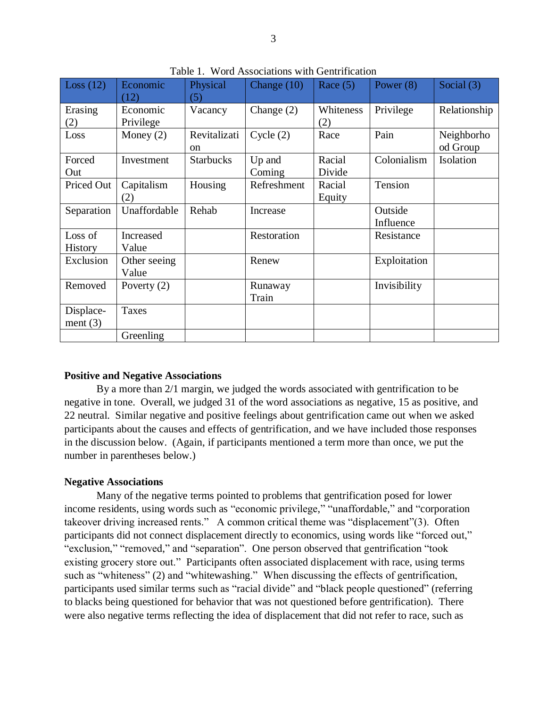| Loss $(12)$             | Economic<br>(12)      | Physical<br>(5)               | Change $(10)$    | Race $(5)$       | Power $(8)$          | Social $(3)$           |
|-------------------------|-----------------------|-------------------------------|------------------|------------------|----------------------|------------------------|
| Erasing<br>(2)          | Economic<br>Privilege | Vacancy                       | Change $(2)$     | Whiteness<br>(2) | Privilege            | Relationship           |
| Loss                    | Money $(2)$           | Revitalizati<br><sub>on</sub> | Cycle(2)         | Race             | Pain                 | Neighborho<br>od Group |
| Forced<br>Out           | Investment            | <b>Starbucks</b>              | Up and<br>Coming | Racial<br>Divide | Colonialism          | Isolation              |
| Priced Out              | Capitalism<br>(2)     | Housing                       | Refreshment      | Racial<br>Equity | Tension              |                        |
| Separation              | Unaffordable          | Rehab                         | Increase         |                  | Outside<br>Influence |                        |
| Loss of<br>History      | Increased<br>Value    |                               | Restoration      |                  | Resistance           |                        |
| Exclusion               | Other seeing<br>Value |                               | Renew            |                  | Exploitation         |                        |
| Removed                 | Poverty $(2)$         |                               | Runaway<br>Train |                  | Invisibility         |                        |
| Displace-<br>ment $(3)$ | <b>Taxes</b>          |                               |                  |                  |                      |                        |
|                         | Greenling             |                               |                  |                  |                      |                        |

Table 1. Word Associations with Gentrification

# **Positive and Negative Associations**

By a more than 2/1 margin, we judged the words associated with gentrification to be negative in tone. Overall, we judged 31 of the word associations as negative, 15 as positive, and 22 neutral. Similar negative and positive feelings about gentrification came out when we asked participants about the causes and effects of gentrification, and we have included those responses in the discussion below. (Again, if participants mentioned a term more than once, we put the number in parentheses below.)

# **Negative Associations**

Many of the negative terms pointed to problems that gentrification posed for lower income residents, using words such as "economic privilege," "unaffordable," and "corporation takeover driving increased rents." A common critical theme was "displacement"(3). Often participants did not connect displacement directly to economics, using words like "forced out," "exclusion," "removed," and "separation". One person observed that gentrification "took existing grocery store out." Participants often associated displacement with race, using terms such as "whiteness" (2) and "whitewashing." When discussing the effects of gentrification, participants used similar terms such as "racial divide" and "black people questioned" (referring to blacks being questioned for behavior that was not questioned before gentrification). There were also negative terms reflecting the idea of displacement that did not refer to race, such as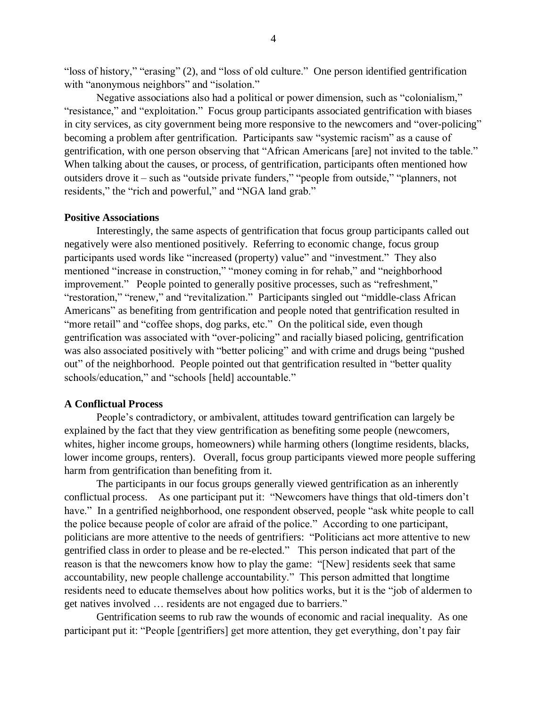"loss of history," "erasing" (2), and "loss of old culture." One person identified gentrification with "anonymous neighbors" and "isolation."

Negative associations also had a political or power dimension, such as "colonialism," "resistance," and "exploitation." Focus group participants associated gentrification with biases in city services, as city government being more responsive to the newcomers and "over-policing" becoming a problem after gentrification. Participants saw "systemic racism" as a cause of gentrification, with one person observing that "African Americans [are] not invited to the table." When talking about the causes, or process, of gentrification, participants often mentioned how outsiders drove it – such as "outside private funders," "people from outside," "planners, not residents," the "rich and powerful," and "NGA land grab."

#### **Positive Associations**

Interestingly, the same aspects of gentrification that focus group participants called out negatively were also mentioned positively. Referring to economic change, focus group participants used words like "increased (property) value" and "investment." They also mentioned "increase in construction," "money coming in for rehab," and "neighborhood improvement." People pointed to generally positive processes, such as "refreshment," "restoration," "renew," and "revitalization." Participants singled out "middle-class African Americans" as benefiting from gentrification and people noted that gentrification resulted in "more retail" and "coffee shops, dog parks, etc." On the political side, even though gentrification was associated with "over-policing" and racially biased policing, gentrification was also associated positively with "better policing" and with crime and drugs being "pushed out" of the neighborhood. People pointed out that gentrification resulted in "better quality schools/education," and "schools [held] accountable."

# **A Conflictual Process**

People's contradictory, or ambivalent, attitudes toward gentrification can largely be explained by the fact that they view gentrification as benefiting some people (newcomers, whites, higher income groups, homeowners) while harming others (longtime residents, blacks, lower income groups, renters). Overall, focus group participants viewed more people suffering harm from gentrification than benefiting from it.

The participants in our focus groups generally viewed gentrification as an inherently conflictual process. As one participant put it: "Newcomers have things that old-timers don't have." In a gentrified neighborhood, one respondent observed, people "ask white people to call the police because people of color are afraid of the police." According to one participant, politicians are more attentive to the needs of gentrifiers: "Politicians act more attentive to new gentrified class in order to please and be re-elected." This person indicated that part of the reason is that the newcomers know how to play the game: "[New] residents seek that same accountability, new people challenge accountability." This person admitted that longtime residents need to educate themselves about how politics works, but it is the "job of aldermen to get natives involved … residents are not engaged due to barriers."

Gentrification seems to rub raw the wounds of economic and racial inequality. As one participant put it: "People [gentrifiers] get more attention, they get everything, don't pay fair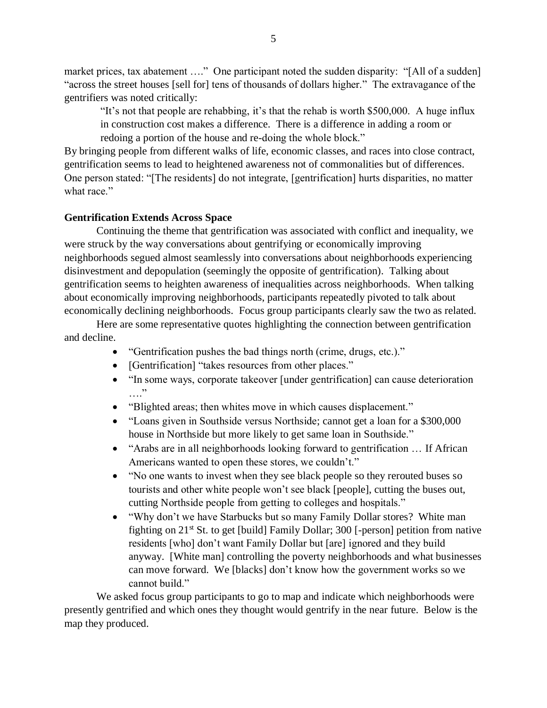market prices, tax abatement ...." One participant noted the sudden disparity: "[All of a sudden] "across the street houses [sell for] tens of thousands of dollars higher." The extravagance of the gentrifiers was noted critically:

"It's not that people are rehabbing, it's that the rehab is worth \$500,000. A huge influx in construction cost makes a difference. There is a difference in adding a room or redoing a portion of the house and re-doing the whole block."

By bringing people from different walks of life, economic classes, and races into close contract, gentrification seems to lead to heightened awareness not of commonalities but of differences. One person stated: "[The residents] do not integrate, [gentrification] hurts disparities, no matter what race."

# **Gentrification Extends Across Space**

Continuing the theme that gentrification was associated with conflict and inequality, we were struck by the way conversations about gentrifying or economically improving neighborhoods segued almost seamlessly into conversations about neighborhoods experiencing disinvestment and depopulation (seemingly the opposite of gentrification). Talking about gentrification seems to heighten awareness of inequalities across neighborhoods. When talking about economically improving neighborhoods, participants repeatedly pivoted to talk about economically declining neighborhoods. Focus group participants clearly saw the two as related.

Here are some representative quotes highlighting the connection between gentrification and decline.

- "Gentrification pushes the bad things north (crime, drugs, etc.)."
- [Gentrification] "takes resources from other places."
- "In some ways, corporate takeover [under gentrification] can cause deterioration …."
- "Blighted areas; then whites move in which causes displacement."
- "Loans given in Southside versus Northside; cannot get a loan for a \$300,000 house in Northside but more likely to get same loan in Southside."
- "Arabs are in all neighborhoods looking forward to gentrification ... If African Americans wanted to open these stores, we couldn't."
- "No one wants to invest when they see black people so they rerouted buses so tourists and other white people won't see black [people], cutting the buses out, cutting Northside people from getting to colleges and hospitals."
- "Why don't we have Starbucks but so many Family Dollar stores? White man fighting on  $21<sup>st</sup>$  St. to get [build] Family Dollar; 300 [-person] petition from native residents [who] don't want Family Dollar but [are] ignored and they build anyway. [White man] controlling the poverty neighborhoods and what businesses can move forward. We [blacks] don't know how the government works so we cannot build."

We asked focus group participants to go to map and indicate which neighborhoods were presently gentrified and which ones they thought would gentrify in the near future. Below is the map they produced.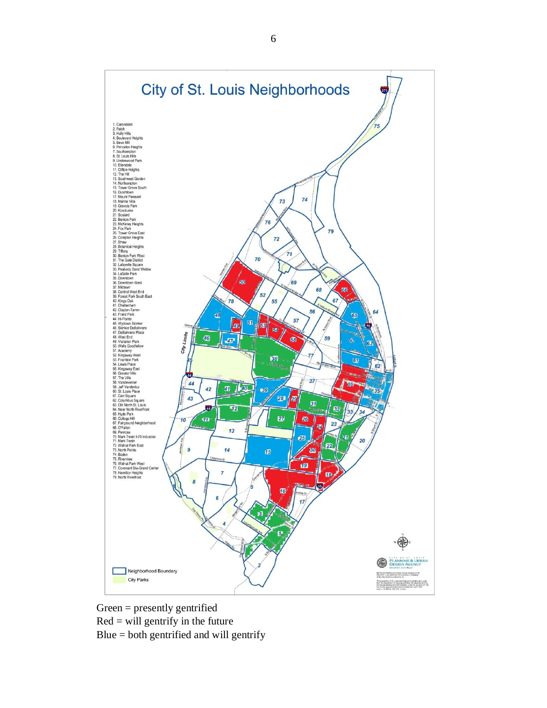

Green = presently gentrified  $Red = will$  gentrify in the future Blue = both gentrified and will gentrify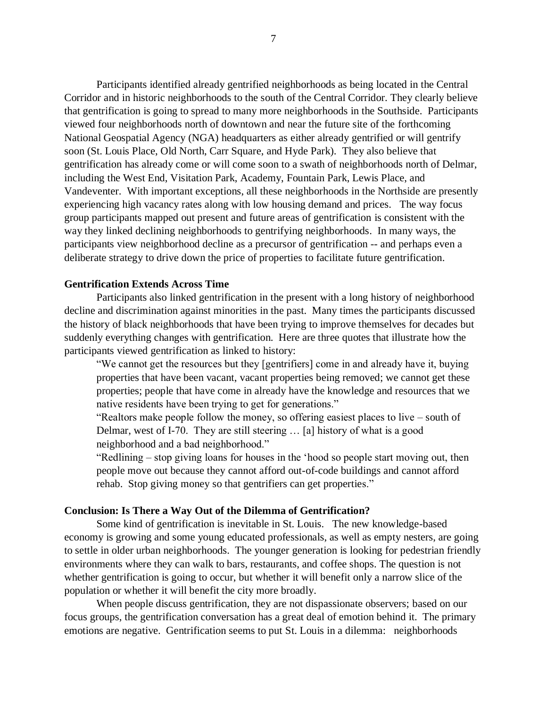Participants identified already gentrified neighborhoods as being located in the Central Corridor and in historic neighborhoods to the south of the Central Corridor. They clearly believe that gentrification is going to spread to many more neighborhoods in the Southside. Participants viewed four neighborhoods north of downtown and near the future site of the forthcoming National Geospatial Agency (NGA) headquarters as either already gentrified or will gentrify soon (St. Louis Place, Old North, Carr Square, and Hyde Park). They also believe that gentrification has already come or will come soon to a swath of neighborhoods north of Delmar, including the West End, Visitation Park, Academy, Fountain Park, Lewis Place, and Vandeventer. With important exceptions, all these neighborhoods in the Northside are presently experiencing high vacancy rates along with low housing demand and prices. The way focus group participants mapped out present and future areas of gentrification is consistent with the way they linked declining neighborhoods to gentrifying neighborhoods. In many ways, the participants view neighborhood decline as a precursor of gentrification -- and perhaps even a deliberate strategy to drive down the price of properties to facilitate future gentrification.

# **Gentrification Extends Across Time**

Participants also linked gentrification in the present with a long history of neighborhood decline and discrimination against minorities in the past. Many times the participants discussed the history of black neighborhoods that have been trying to improve themselves for decades but suddenly everything changes with gentrification. Here are three quotes that illustrate how the participants viewed gentrification as linked to history:

"We cannot get the resources but they [gentrifiers] come in and already have it, buying properties that have been vacant, vacant properties being removed; we cannot get these properties; people that have come in already have the knowledge and resources that we native residents have been trying to get for generations."

"Realtors make people follow the money, so offering easiest places to live – south of Delmar, west of I-70. They are still steering … [a] history of what is a good neighborhood and a bad neighborhood."

"Redlining – stop giving loans for houses in the 'hood so people start moving out, then people move out because they cannot afford out-of-code buildings and cannot afford rehab. Stop giving money so that gentrifiers can get properties."

#### **Conclusion: Is There a Way Out of the Dilemma of Gentrification?**

Some kind of gentrification is inevitable in St. Louis. The new knowledge-based economy is growing and some young educated professionals, as well as empty nesters, are going to settle in older urban neighborhoods. The younger generation is looking for pedestrian friendly environments where they can walk to bars, restaurants, and coffee shops. The question is not whether gentrification is going to occur, but whether it will benefit only a narrow slice of the population or whether it will benefit the city more broadly.

When people discuss gentrification, they are not dispassionate observers; based on our focus groups, the gentrification conversation has a great deal of emotion behind it. The primary emotions are negative. Gentrification seems to put St. Louis in a dilemma: neighborhoods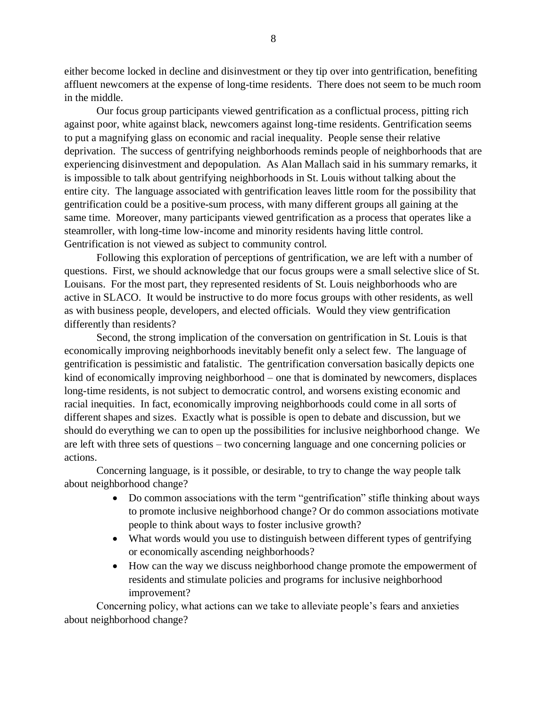either become locked in decline and disinvestment or they tip over into gentrification, benefiting affluent newcomers at the expense of long-time residents. There does not seem to be much room in the middle.

Our focus group participants viewed gentrification as a conflictual process, pitting rich against poor, white against black, newcomers against long-time residents. Gentrification seems to put a magnifying glass on economic and racial inequality. People sense their relative deprivation. The success of gentrifying neighborhoods reminds people of neighborhoods that are experiencing disinvestment and depopulation. As Alan Mallach said in his summary remarks, it is impossible to talk about gentrifying neighborhoods in St. Louis without talking about the entire city. The language associated with gentrification leaves little room for the possibility that gentrification could be a positive-sum process, with many different groups all gaining at the same time. Moreover, many participants viewed gentrification as a process that operates like a steamroller, with long-time low-income and minority residents having little control. Gentrification is not viewed as subject to community control.

Following this exploration of perceptions of gentrification, we are left with a number of questions. First, we should acknowledge that our focus groups were a small selective slice of St. Louisans. For the most part, they represented residents of St. Louis neighborhoods who are active in SLACO. It would be instructive to do more focus groups with other residents, as well as with business people, developers, and elected officials. Would they view gentrification differently than residents?

Second, the strong implication of the conversation on gentrification in St. Louis is that economically improving neighborhoods inevitably benefit only a select few. The language of gentrification is pessimistic and fatalistic. The gentrification conversation basically depicts one kind of economically improving neighborhood – one that is dominated by newcomers, displaces long-time residents, is not subject to democratic control, and worsens existing economic and racial inequities. In fact, economically improving neighborhoods could come in all sorts of different shapes and sizes. Exactly what is possible is open to debate and discussion, but we should do everything we can to open up the possibilities for inclusive neighborhood change. We are left with three sets of questions – two concerning language and one concerning policies or actions.

Concerning language, is it possible, or desirable, to try to change the way people talk about neighborhood change?

- Do common associations with the term "gentrification" stifle thinking about ways to promote inclusive neighborhood change? Or do common associations motivate people to think about ways to foster inclusive growth?
- What words would you use to distinguish between different types of gentrifying or economically ascending neighborhoods?
- How can the way we discuss neighborhood change promote the empowerment of residents and stimulate policies and programs for inclusive neighborhood improvement?

Concerning policy, what actions can we take to alleviate people's fears and anxieties about neighborhood change?